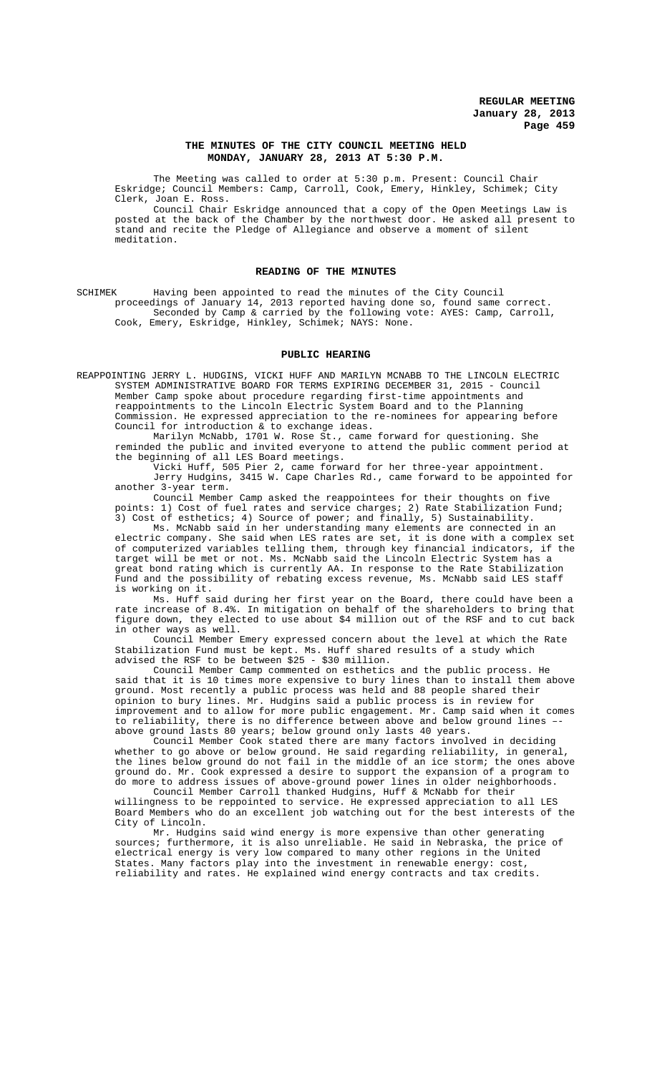### **THE MINUTES OF THE CITY COUNCIL MEETING HELD MONDAY, JANUARY 28, 2013 AT 5:30 P.M.**

The Meeting was called to order at 5:30 p.m. Present: Council Chair Eskridge; Council Members: Camp, Carroll, Cook, Emery, Hinkley, Schimek; City Clerk, Joan E. Ross.

Council Chair Eskridge announced that a copy of the Open Meetings Law is posted at the back of the Chamber by the northwest door. He asked all present to stand and recite the Pledge of Allegiance and observe a moment of silent meditation.

### **READING OF THE MINUTES**

SCHIMEK Having been appointed to read the minutes of the City Council proceedings of January 14, 2013 reported having done so, found same correct. Seconded by Camp & carried by the following vote: AYES: Camp, Carroll, Cook, Emery, Eskridge, Hinkley, Schimek; NAYS: None.

#### **PUBLIC HEARING**

REAPPOINTING JERRY L. HUDGINS, VICKI HUFF AND MARILYN MCNABB TO THE LINCOLN ELECTRIC SYSTEM ADMINISTRATIVE BOARD FOR TERMS EXPIRING DECEMBER 31, 2015 - Council Member Camp spoke about procedure regarding first-time appointments and reappointments to the Lincoln Electric System Board and to the Planning Commission. He expressed appreciation to the re-nominees for appearing before Council for introduction & to exchange ideas.

Marilyn McNabb, 1701 W. Rose St., came forward for questioning. She reminded the public and invited everyone to attend the public comment period at the beginning of all LES Board meetings.

Vicki Huff, 505 Pier 2, came forward for her three-year appointment. Jerry Hudgins, 3415 W. Cape Charles Rd., came forward to be appointed for another 3-year term.

Council Member Camp asked the reappointees for their thoughts on five points: 1) Cost of fuel rates and service charges; 2) Rate Stabilization Fund; 3) Cost of esthetics; 4) Source of power; and finally, 5) Sustainability.

Ms. McNabb said in her understanding many elements are connected in an electric company. She said when LES rates are set, it is done with a complex set of computerized variables telling them, through key financial indicators, if the target will be met or not. Ms. McNabb said the Lincoln Electric System has a great bond rating which is currently AA. In response to the Rate Stabilization Fund and the possibility of rebating excess revenue, Ms. McNabb said LES staff is working on it.

Ms. Huff said during her first year on the Board, there could have been a rate increase of 8.4%. In mitigation on behalf of the shareholders to bring that figure down, they elected to use about \$4 million out of the RSF and to cut back in other ways as well.

Council Member Emery expressed concern about the level at which the Rate Stabilization Fund must be kept. Ms. Huff shared results of a study which advised the RSF to be between \$25 - \$30 million.

Council Member Camp commented on esthetics and the public process. He said that it is 10 times more expensive to bury lines than to install them above ground. Most recently a public process was held and 88 people shared their opinion to bury lines. Mr. Hudgins said a public process is in review for improvement and to allow for more public engagement. Mr. Camp said when it comes to reliability, there is no difference between above and below ground lines – above ground lasts 80 years; below ground only lasts 40 years.

Council Member Cook stated there are many factors involved in deciding whether to go above or below ground. He said regarding reliability, in general, the lines below ground do not fail in the middle of an ice storm; the ones above ground do. Mr. Cook expressed a desire to support the expansion of a program to do more to address issues of above-ground power lines in older neighborhoods.

Council Member Carroll thanked Hudgins, Huff & McNabb for their willingness to be reppointed to service. He expressed appreciation to all LES Board Members who do an excellent job watching out for the best interests of the City of Lincoln.

Mr. Hudgins said wind energy is more expensive than other generating<br>s; furthermore, it is also unreliable. He said in Nebraska, the price of sources; furthermore, it is also unreliable. He said in Nebraska, electrical energy is very low compared to many other regions in the United States. Many factors play into the investment in renewable energy: cost, reliability and rates. He explained wind energy contracts and tax credits.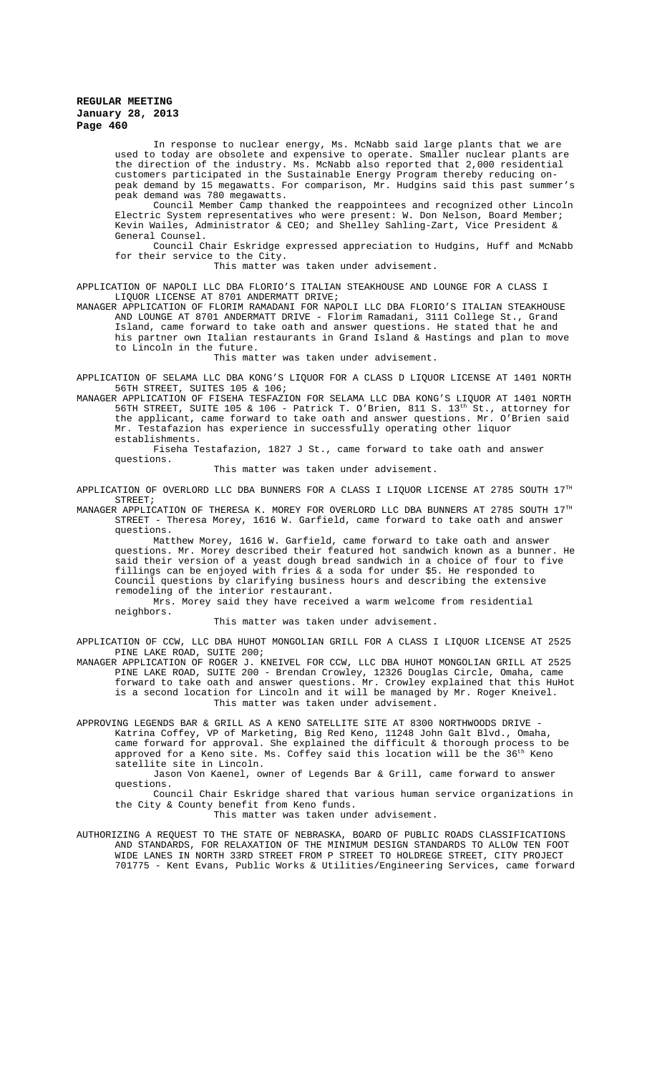In response to nuclear energy, Ms. McNabb said large plants that we are used to today are obsolete and expensive to operate. Smaller nuclear plants are the direction of the industry. Ms. McNabb also reported that 2,000 residential customers participated in the Sustainable Energy Program thereby reducing onpeak demand by 15 megawatts. For comparison, Mr. Hudgins said this past summer's peak demand was 780 megawatts.

Council Member Camp thanked the reappointees and recognized other Lincoln Electric System representatives who were present: W. Don Nelson, Board Member; Kevin Wailes, Administrator & CEO; and Shelley Sahling-Zart, Vice President & General Counsel.

Council Chair Eskridge expressed appreciation to Hudgins, Huff and McNabb for their service to the City.

This matter was taken under advisement.

APPLICATION OF NAPOLI LLC DBA FLORIO'S ITALIAN STEAKHOUSE AND LOUNGE FOR A CLASS I LIQUOR LICENSE AT 8701 ANDERMATT DRIVE;

MANAGER APPLICATION OF FLORIM RAMADANI FOR NAPOLI LLC DBA FLORIO'S ITALIAN STEAKHOUSE AND LOUNGE AT 8701 ANDERMATT DRIVE - Florim Ramadani, 3111 College St., Grand Island, came forward to take oath and answer questions. He stated that he and his partner own Italian restaurants in Grand Island & Hastings and plan to move to Lincoln in the future.

This matter was taken under advisement.

APPLICATION OF SELAMA LLC DBA KONG'S LIQUOR FOR A CLASS D LIQUOR LICENSE AT 1401 NORTH 56TH STREET, SUITES 105 & 106;

MANAGER APPLICATION OF FISEHA TESFAZION FOR SELAMA LLC DBA KONG'S LIQUOR AT 1401 NORTH 56TH STREET, SUITE 105 & 106 - Patrick T. O'Brien, 811 S. 13th St., attorney for the applicant, came forward to take oath and answer questions. Mr. O'Brien said Mr. Testafazion has experience in successfully operating other liquor establishments.

Fiseha Testafazion, 1827 J St., came forward to take oath and answer questions.

This matter was taken under advisement.

APPLICATION OF OVERLORD LLC DBA BUNNERS FOR A CLASS I LIQUOR LICENSE AT 2785 SOUTH 17TH STREET;

MANAGER APPLICATION OF THERESA K. MOREY FOR OVERLORD LLC DBA BUNNERS AT 2785 SOUTH  $17^{\text{th}}$ STREET - Theresa Morey, 1616 W. Garfield, came forward to take oath and answer questions.

Matthew Morey, 1616 W. Garfield, came forward to take oath and answer questions. Mr. Morey described their featured hot sandwich known as a bunner. He said their version of a yeast dough bread sandwich in a choice of four to five fillings can be enjoyed with fries & a soda for under \$5. He responded to Council questions by clarifying business hours and describing the extensive remodeling of the interior restaurant.

Mrs. Morey said they have received a warm welcome from residential neighbors.

This matter was taken under advisement.

APPLICATION OF CCW, LLC DBA HUHOT MONGOLIAN GRILL FOR A CLASS I LIQUOR LICENSE AT 2525 PINE LAKE ROAD, SUITE 200;

MANAGER APPLICATION OF ROGER J. KNEIVEL FOR CCW, LLC DBA HUHOT MONGOLIAN GRILL AT 2525 PINE LAKE ROAD, SUITE 200 - Brendan Crowley, 12326 Douglas Circle, Omaha, came forward to take oath and answer questions. Mr. Crowley explained that this HuHot is a second location for Lincoln and it will be managed by Mr. Roger Kneivel. This matter was taken under advisement.

APPROVING LEGENDS BAR & GRILL AS A KENO SATELLITE SITE AT 8300 NORTHWOODS DRIVE - Katrina Coffey, VP of Marketing, Big Red Keno, 11248 John Galt Blvd., Omaha, came forward for approval. She explained the difficult & thorough process to be approved for a Keno site. Ms. Coffey said this location will be the 36<sup>th</sup> Keno satellite site in Lincoln.

Jason Von Kaenel, owner of Legends Bar & Grill, came forward to answer questions.

Council Chair Eskridge shared that various human service organizations in the City & County benefit from Keno funds.

This matter was taken under advisement.

AUTHORIZING A REQUEST TO THE STATE OF NEBRASKA, BOARD OF PUBLIC ROADS CLASSIFICATIONS AND STANDARDS, FOR RELAXATION OF THE MINIMUM DESIGN STANDARDS TO ALLOW TEN FOOT WIDE LANES IN NORTH 33RD STREET FROM P STREET TO HOLDREGE STREET, CITY PROJECT 701775 - Kent Evans, Public Works & Utilities/Engineering Services, came forward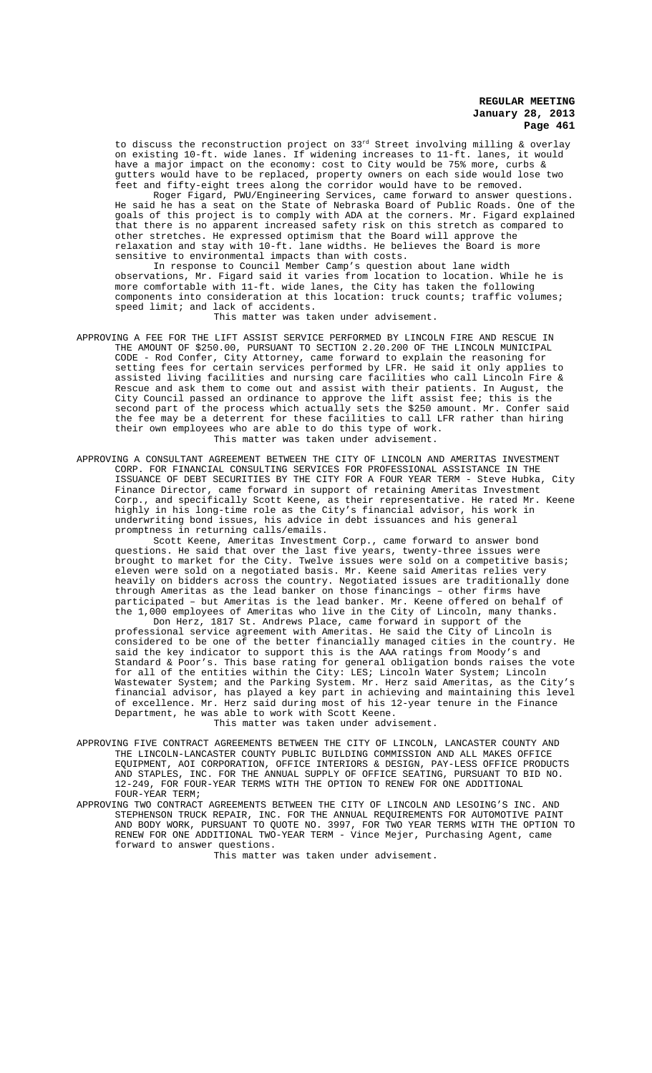to discuss the reconstruction project on  $33^{rd}$  Street involving milling & overlay on existing 10-ft. wide lanes. If widening increases to 11-ft. lanes, it would have a major impact on the economy: cost to City would be 75% more, curbs & gutters would have to be replaced, property owners on each side would lose two feet and fifty-eight trees along the corridor would have to be removed.

Roger Figard, PWU/Engineering Services, came forward to answer questions. He said he has a seat on the State of Nebraska Board of Public Roads. One of the goals of this project is to comply with ADA at the corners. Mr. Figard explained that there is no apparent increased safety risk on this stretch as compared to other stretches. He expressed optimism that the Board will approve the relaxation and stay with 10-ft. lane widths. He believes the Board is more sensitive to environmental impacts than with costs.

In response to Council Member Camp's question about lane width observations, Mr. Figard said it varies from location to location. While he is more comfortable with 11-ft. wide lanes, the City has taken the following components into consideration at this location: truck counts; traffic volumes; speed limit; and lack of accidents.

This matter was taken under advisement.

- APPROVING A FEE FOR THE LIFT ASSIST SERVICE PERFORMED BY LINCOLN FIRE AND RESCUE IN THE AMOUNT OF \$250.00, PURSUANT TO SECTION 2.20.200 OF THE LINCOLN MUNICIPAL CODE - Rod Confer, City Attorney, came forward to explain the reasoning for setting fees for certain services performed by LFR. He said it only applies to assisted living facilities and nursing care facilities who call Lincoln Fire & Rescue and ask them to come out and assist with their patients. In August, the City Council passed an ordinance to approve the lift assist fee; this is the second part of the process which actually sets the \$250 amount. Mr. Confer said the fee may be a deterrent for these facilities to call LFR rather than hiring their own employees who are able to do this type of work. This matter was taken under advisement.
- APPROVING A CONSULTANT AGREEMENT BETWEEN THE CITY OF LINCOLN AND AMERITAS INVESTMENT CORP. FOR FINANCIAL CONSULTING SERVICES FOR PROFESSIONAL ASSISTANCE IN THE ISSUANCE OF DEBT SECURITIES BY THE CITY FOR A FOUR YEAR TERM - Steve Hubka, City Finance Director, came forward in support of retaining Ameritas Investment Corp., and specifically Scott Keene, as their representative. He rated Mr. Keene highly in his long-time role as the City's financial advisor, his work in underwriting bond issues, his advice in debt issuances and his general promptness in returning calls/emails.

Scott Keene, Ameritas Investment Corp., came forward to answer bond questions. He said that over the last five years, twenty-three issues were brought to market for the City. Twelve issues were sold on a competitive basis; eleven were sold on a negotiated basis. Mr. Keene said Ameritas relies very heavily on bidders across the country. Negotiated issues are traditionally done through Ameritas as the lead banker on those financings – other firms have participated – but Ameritas is the lead banker. Mr. Keene offered on behalf of the 1,000 employees of Ameritas who live in the City of Lincoln, many thanks.

Don Herz, 1817 St. Andrews Place, came forward in support of the professional service agreement with Ameritas. He said the City of Lincoln is considered to be one of the better financially managed cities in the country. He said the key indicator to support this is the AAA ratings from Moody's and Standard & Poor's. This base rating for general obligation bonds raises the vote for all of the entities within the City: LES; Lincoln Water System; Lincoln Wastewater System; and the Parking System. Mr. Herz said Ameritas, as the City's financial advisor, has played a key part in achieving and maintaining this level of excellence. Mr. Herz said during most of his 12-year tenure in the Finance Department, he was able to work with Scott Keene.

- This matter was taken under advisement.
- APPROVING FIVE CONTRACT AGREEMENTS BETWEEN THE CITY OF LINCOLN, LANCASTER COUNTY AND THE LINCOLN-LANCASTER COUNTY PUBLIC BUILDING COMMISSION AND ALL MAKES OFFICE EQUIPMENT, AOI CORPORATION, OFFICE INTERIORS & DESIGN, PAY-LESS OFFICE PRODUCTS AND STAPLES, INC. FOR THE ANNUAL SUPPLY OF OFFICE SEATING, PURSUANT TO BID NO. 12-249, FOR FOUR-YEAR TERMS WITH THE OPTION TO RENEW FOR ONE ADDITIONAL FOUR-YEAR TERM;
- APPROVING TWO CONTRACT AGREEMENTS BETWEEN THE CITY OF LINCOLN AND LESOING'S INC. AND STEPHENSON TRUCK REPAIR, INC. FOR THE ANNUAL REQUIREMENTS FOR AUTOMOTIVE PAINT AND BODY WORK, PURSUANT TO QUOTE NO. 3997, FOR TWO YEAR TERMS WITH THE OPTION TO RENEW FOR ONE ADDITIONAL TWO-YEAR TERM - Vince Mejer, Purchasing Agent, came forward to answer questions.

This matter was taken under advisement.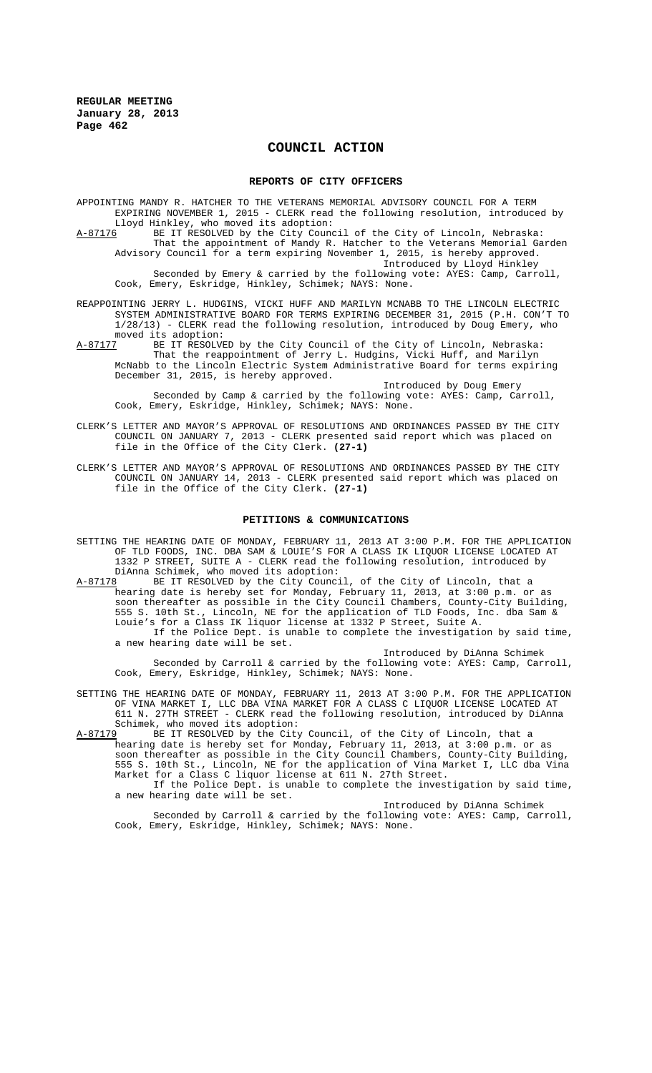# **COUNCIL ACTION**

#### **REPORTS OF CITY OFFICERS**

APPOINTING MANDY R. HATCHER TO THE VETERANS MEMORIAL ADVISORY COUNCIL FOR A TERM EXPIRING NOVEMBER 1, 2015 - CLERK read the following resolution, introduced by Lloyd Hinkley, who moved its adoption:<br>A-87176 BE IT RESOLVED by the City Counc BE IT RESOLVED by the City Council of the City of Lincoln, Nebraska: That the appointment of Mandy R. Hatcher to the Veterans Memorial Garden Advisory Council for a term expiring November 1, 2015, is hereby approved. Introduced by Lloyd Hinkley Seconded by Emery & carried by the following vote: AYES: Camp, Carroll,

REAPPOINTING JERRY L. HUDGINS, VICKI HUFF AND MARILYN MCNABB TO THE LINCOLN ELECTRIC SYSTEM ADMINISTRATIVE BOARD FOR TERMS EXPIRING DECEMBER 31, 2015 (P.H. CON'T TO 1/28/13) - CLERK read the following resolution, introduced by Doug Emery, who

Cook, Emery, Eskridge, Hinkley, Schimek; NAYS: None.

moved its adoption:<br>A-87177 BE IT RESOLVE A-87177 BE IT RESOLVED by the City Council of the City of Lincoln, Nebraska: That the reappointment of Jerry L. Hudgins, Vicki Huff, and Marilyn McNabb to the Lincoln Electric System Administrative Board for terms expiring December 31, 2015, is hereby approved.

Introduced by Doug Emery Seconded by Camp & carried by the following vote: AYES: Camp, Carroll, Cook, Emery, Eskridge, Hinkley, Schimek; NAYS: None.

- CLERK'S LETTER AND MAYOR'S APPROVAL OF RESOLUTIONS AND ORDINANCES PASSED BY THE CITY COUNCIL ON JANUARY 7, 2013 - CLERK presented said report which was placed on file in the Office of the City Clerk. **(27-1)**
- CLERK'S LETTER AND MAYOR'S APPROVAL OF RESOLUTIONS AND ORDINANCES PASSED BY THE CITY COUNCIL ON JANUARY 14, 2013 - CLERK presented said report which was placed on file in the Office of the City Clerk. **(27-1)**

#### **PETITIONS & COMMUNICATIONS**

SETTING THE HEARING DATE OF MONDAY, FEBRUARY 11, 2013 AT 3:00 P.M. FOR THE APPLICATION OF TLD FOODS, INC. DBA SAM & LOUIE'S FOR A CLASS IK LIQUOR LICENSE LOCATED AT 1332 P STREET, SUITE A - CLERK read the following resolution, introduced by DiAnna Schimek, who moved its adoption:<br>A-87178 BE IT RESOLVED by the City Counc:

BE IT RESOLVED by the City Council, of the City of Lincoln, that a hearing date is hereby set for Monday, February 11, 2013, at 3:00 p.m. or as soon thereafter as possible in the City Council Chambers, County-City Building, 555 S. 10th St., Lincoln, NE for the application of TLD Foods, Inc. dba Sam & Louie's for a Class IK liquor license at 1332 P Street, Suite A. If the Police Dept. is unable to complete the investigation by said time,

a new hearing date will be set. Introduced by DiAnna Schimek

Seconded by Carroll & carried by the following vote: AYES: Camp, Carroll, Cook, Emery, Eskridge, Hinkley, Schimek; NAYS: None.

SETTING THE HEARING DATE OF MONDAY, FEBRUARY 11, 2013 AT 3:00 P.M. FOR THE APPLICATION OF VINA MARKET I, LLC DBA VINA MARKET FOR A CLASS C LIQUOR LICENSE LOCATED AT 611 N. 27TH STREET - CLERK read the following resolution, introduced by DiAnna Schimek, who moved its adoption:

A-87179 BE IT RESOLVED by the City Council, of the City of Lincoln, that a hearing date is hereby set for Monday, February 11, 2013, at 3:00 p.m. or as soon thereafter as possible in the City Council Chambers, County-City Building, 555 S. 10th St., Lincoln, NE for the application of Vina Market I, LLC dba Vina Market for a Class C liquor license at 611 N. 27th Street.

If the Police Dept. is unable to complete the investigation by said time, a new hearing date will be set.

Introduced by DiAnna Schimek Seconded by Carroll & carried by the following vote: AYES: Camp, Carroll, Cook, Emery, Eskridge, Hinkley, Schimek; NAYS: None.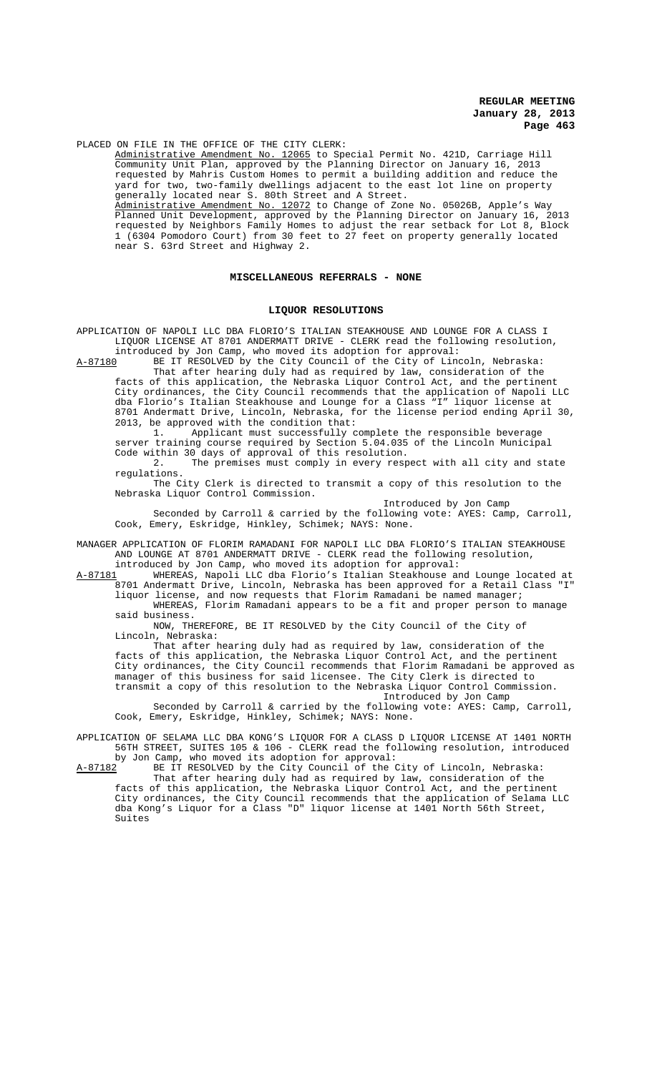PLACED ON FILE IN THE OFFICE OF THE CITY CLERK:

Administrative Amendment No. 12065 to Special Permit No. 421D, Carriage Hill Community Unit Plan, approved by the Planning Director on January 16, 2013 requested by Mahris Custom Homes to permit a building addition and reduce the yard for two, two-family dwellings adjacent to the east lot line on property generally located near S. 80th Street and A Street. Administrative Amendment No. 12072 to Change of Zone No. 05026B, Apple's Way Planned Unit Development, approved by the Planning Director on January 16, 2013 requested by Neighbors Family Homes to adjust the rear setback for Lot 8, Block 1 (6304 Pomodoro Court) from 30 feet to 27 feet on property generally located near S. 63rd Street and Highway 2.

#### **MISCELLANEOUS REFERRALS - NONE**

#### **LIQUOR RESOLUTIONS**

APPLICATION OF NAPOLI LLC DBA FLORIO'S ITALIAN STEAKHOUSE AND LOUNGE FOR A CLASS I LIQUOR LICENSE AT 8701 ANDERMATT DRIVE - CLERK read the following resolution, introduced by Jon Camp, who moved its adoption for approval:

A-87180 BE IT RESOLVED by the City Council of the City of Lincoln, Nebraska: That after hearing duly had as required by law, consideration of the facts of this application, the Nebraska Liquor Control Act, and the pertinent City ordinances, the City Council recommends that the application of Napoli LLC dba Florio's Italian Steakhouse and Lounge for a Class "I" liquor license at 8701 Andermatt Drive, Lincoln, Nebraska, for the license period ending April 30, 2013, be approved with the condition that:<br>2013, be approved with the condition that:<br>1. Applicant must successfully c

Applicant must successfully complete the responsible beverage server training course required by Section 5.04.035 of the Lincoln Municipal Code within 30 days of approval of this resolution.

2. The premises must comply in every respect with all city and state regulations.

The City Clerk is directed to transmit a copy of this resolution to the Nebraska Liquor Control Commission.

Introduced by Jon Camp

Seconded by Carroll & carried by the following vote: AYES: Camp, Carroll, Cook, Emery, Eskridge, Hinkley, Schimek; NAYS: None.

MANAGER APPLICATION OF FLORIM RAMADANI FOR NAPOLI LLC DBA FLORIO'S ITALIAN STEAKHOUSE AND LOUNGE AT 8701 ANDERMATT DRIVE - CLERK read the following resolution,

introduced by Jon Camp, who moved its adoption for approval:<br>A-87181 WHEREAS, Napoli LLC dba Florio's Italian Steakhouse a WHEREAS, Napoli LLC dba Florio's Italian Steakhouse and Lounge located at 8701 Andermatt Drive, Lincoln, Nebraska has been approved for a Retail Class "I" liquor license, and now requests that Florim Ramadani be named manager;

WHEREAS, Florim Ramadani appears to be a fit and proper person to manage said business.

NOW, THEREFORE, BE IT RESOLVED by the City Council of the City of Lincoln, Nebraska:

That after hearing duly had as required by law, consideration of the facts of this application, the Nebraska Liquor Control Act, and the pertinent City ordinances, the City Council recommends that Florim Ramadani be approved as manager of this business for said licensee. The City Clerk is directed to transmit a copy of this resolution to the Nebraska Liquor Control Commission. Introduced by Jon Camp

Seconded by Carroll & carried by the following vote: AYES: Camp, Carroll, Cook, Emery, Eskridge, Hinkley, Schimek; NAYS: None.

APPLICATION OF SELAMA LLC DBA KONG'S LIQUOR FOR A CLASS D LIQUOR LICENSE AT 1401 NORTH 56TH STREET, SUITES 105 & 106 - CLERK read the following resolution, introduced

by Jon Camp, who moved its adoption for approval:<br>A-87182 BE IT RESOLVED by the City Council of the O BE IT RESOLVED by the City Council of the City of Lincoln, Nebraska: That after hearing duly had as required by law, consideration of the facts of this application, the Nebraska Liquor Control Act, and the pertinent City ordinances, the City Council recommends that the application of Selama LLC dba Kong's Liquor for a Class "D" liquor license at 1401 North 56th Street, Suites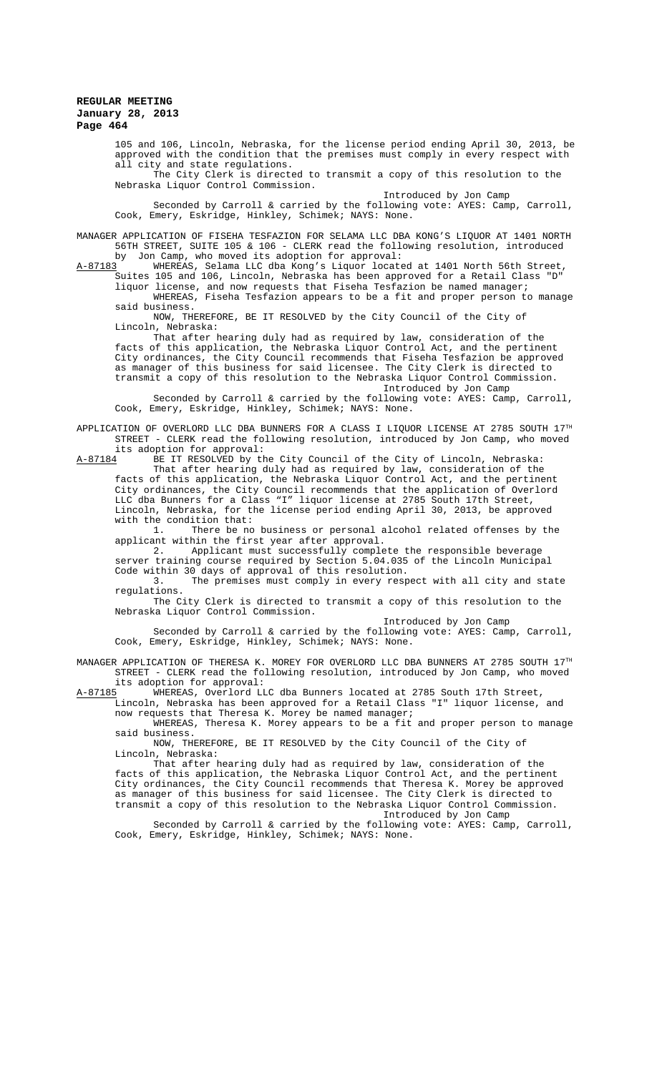105 and 106, Lincoln, Nebraska, for the license period ending April 30, 2013, be approved with the condition that the premises must comply in every respect with all city and state regulations.

The City Clerk is directed to transmit a copy of this resolution to the Nebraska Liquor Control Commission.

Introduced by Jon Camp

Seconded by Carroll & carried by the following vote: AYES: Camp, Carroll, Cook, Emery, Eskridge, Hinkley, Schimek; NAYS: None.

MANAGER APPLICATION OF FISEHA TESFAZION FOR SELAMA LLC DBA KONG'S LIQUOR AT 1401 NORTH 56TH STREET, SUITE 105 & 106 - CLERK read the following resolution, introduced

by Jon Camp, who moved its adoption for approval:<br>A-87183 WHEREAS, Selama LLC dba Kong's Liquor locate A-87183 WHEREAS, Selama LLC dba Kong's Liquor located at 1401 North 56th Street, Suites 105 and 106, Lincoln, Nebraska has been approved for a Retail Class "D"

liquor license, and now requests that Fiseha Tesfazion be named manager; WHEREAS, Fiseha Tesfazion appears to be a fit and proper person to manage

said business. NOW, THEREFORE, BE IT RESOLVED by the City Council of the City of Lincoln, Nebraska:

That after hearing duly had as required by law, consideration of the facts of this application, the Nebraska Liquor Control Act, and the pertinent City ordinances, the City Council recommends that Fiseha Tesfazion be approved as manager of this business for said licensee. The City Clerk is directed transmit a copy of this resolution to the Nebraska Liquor Control Commission.

Introduced by Jon Camp Seconded by Carroll & carried by the following vote: AYES: Camp, Carroll, Cook, Emery, Eskridge, Hinkley, Schimek; NAYS: None.

APPLICATION OF OVERLORD LLC DBA BUNNERS FOR A CLASS I LIQUOR LICENSE AT 2785 SOUTH 17TH STREET - CLERK read the following resolution, introduced by Jon Camp, who moved its adoption for approval:

A-87184 BE IT RESOLVED by the City Council of the City of Lincoln, Nebraska: That after hearing duly had as required by law, consideration of the

facts of this application, the Nebraska Liquor Control Act, and the pertinent City ordinances, the City Council recommends that the application of Overlord LLC dba Bunners for a Class "I" liquor license at 2785 South 17th Street, Lincoln, Nebraska, for the license period ending April 30, 2013, be approved with the condition that:

1. There be no business or personal alcohol related offenses by the applicant within the first year after approval.<br>2. Applicant must successfully comple

Applicant must successfully complete the responsible beverage server training course required by Section 5.04.035 of the Lincoln Municipal Code within 30 days of approval of this resolution.

3. The premises must comply in every respect with all city and state regulations.

The City Clerk is directed to transmit a copy of this resolution to the Nebraska Liquor Control Commission.

Introduced by Jon Camp Seconded by Carroll & carried by the following vote: AYES: Camp, Carroll, Cook, Emery, Eskridge, Hinkley, Schimek; NAYS: None.

MANAGER APPLICATION OF THERESA K. MOREY FOR OVERLORD LLC DBA BUNNERS AT 2785 SOUTH  $17^{\text{\tiny{TH}}}$ STREET - CLERK read the following resolution, introduced by Jon Camp, who moved

its adoption for approval:<br>A-87185 WHEREAS, Overlord LJ A-87185 WHEREAS, Overlord LLC dba Bunners located at 2785 South 17th Street, Lincoln, Nebraska has been approved for a Retail Class "I" liquor license, and

now requests that Theresa K. Morey be named manager; WHEREAS, Theresa K. Morey appears to be a fit and proper person to manage said business.

NOW, THEREFORE, BE IT RESOLVED by the City Council of the City of Lincoln, Nebraska:

That after hearing duly had as required by law, consideration of the facts of this application, the Nebraska Liquor Control Act, and the pertinent City ordinances, the City Council recommends that Theresa K. Morey be approved as manager of this business for said licensee. The City Clerk is directed to transmit a copy of this resolution to the Nebraska Liquor Control Commission. Introduced by Jon Camp

Seconded by Carroll & carried by the following vote: AYES: Camp, Carroll, Cook, Emery, Eskridge, Hinkley, Schimek; NAYS: None.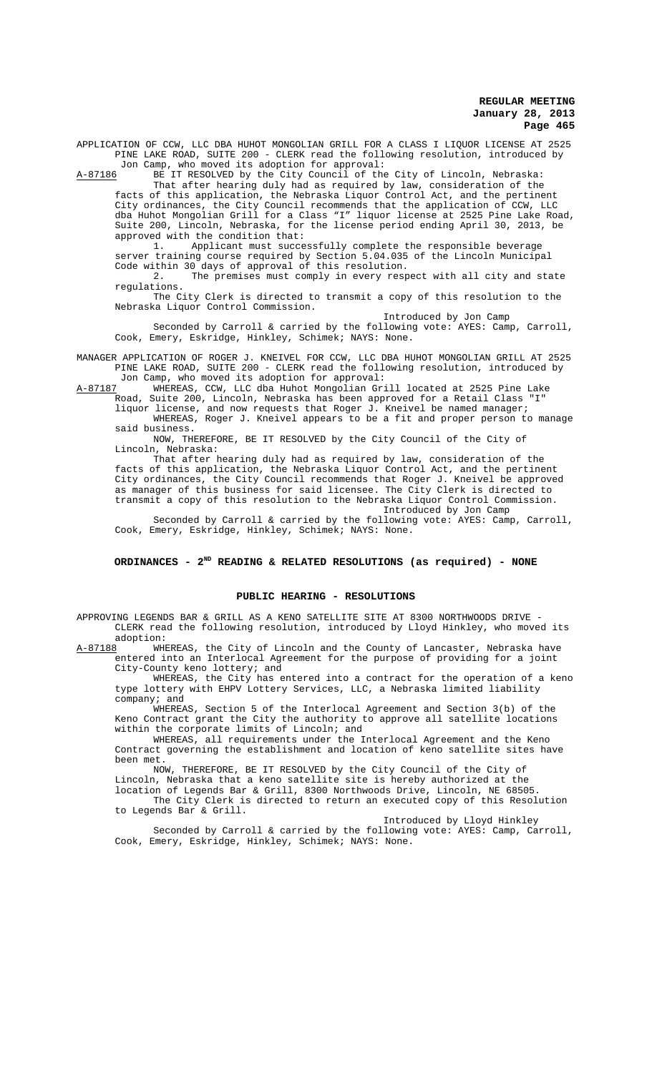APPLICATION OF CCW, LLC DBA HUHOT MONGOLIAN GRILL FOR A CLASS I LIQUOR LICENSE AT 2525 PINE LAKE ROAD, SUITE 200 - CLERK read the following resolution, introduced by Jon Camp, who moved its adoption for approval:

A-87186 BE IT RESOLVED by the City Council of the City of Lincoln, Nebraska:

That after hearing duly had as required by law, consideration of the facts of this application, the Nebraska Liquor Control Act, and the pertinent City ordinances, the City Council recommends that the application of CCW, LLC dba Huhot Mongolian Grill for a Class "I" liquor license at 2525 Pine Lake Road, Suite 200, Lincoln, Nebraska, for the license period ending April 30, 2013, be approved with the condition that:<br>1. Applicant must succe

Applicant must successfully complete the responsible beverage server training course required by Section 5.04.035 of the Lincoln Municipal Code within 30 days of approval of this resolution.

2. The premises must comply in every respect with all city and state regulations.

The City Clerk is directed to transmit a copy of this resolution to the Nebraska Liquor Control Commission.

Introduced by Jon Camp Seconded by Carroll & carried by the following vote: AYES: Camp, Carroll, Cook, Emery, Eskridge, Hinkley, Schimek; NAYS: None.

MANAGER APPLICATION OF ROGER J. KNEIVEL FOR CCW, LLC DBA HUHOT MONGOLIAN GRILL AT 2525 PINE LAKE ROAD, SUITE 200 - CLERK read the following resolution, introduced by

Jon Camp, who moved its adoption for approval:<br>A-87187 WHEREAS, CCW, LLC dba Huhot Mongolian Gr: WHEREAS, CCW, LLC dba Huhot Mongolian Grill located at 2525 Pine Lake Road, Suite 200, Lincoln, Nebraska has been approved for a Retail Class "I"

liquor license, and now requests that Roger J. Kneivel be named manager; WHEREAS, Roger J. Kneivel appears to be a fit and proper person to manage said business.

NOW, THEREFORE, BE IT RESOLVED by the City Council of the City of Lincoln, Nebraska:

That after hearing duly had as required by law, consideration of the facts of this application, the Nebraska Liquor Control Act, and the pertinent City ordinances, the City Council recommends that Roger J. Kneivel be approved as manager of this business for said licensee. The City Clerk is directed to transmit a copy of this resolution to the Nebraska Liquor Control Commission. Introduced by Jon Camp

Seconded by Carroll & carried by the following vote: AYES: Camp, Carroll, Cook, Emery, Eskridge, Hinkley, Schimek; NAYS: None.

### ORDINANCES - 2<sup>ND</sup> READING & RELATED RESOLUTIONS (as required) - NONE

#### **PUBLIC HEARING - RESOLUTIONS**

APPROVING LEGENDS BAR & GRILL AS A KENO SATELLITE SITE AT 8300 NORTHWOODS DRIVE - CLERK read the following resolution, introduced by Lloyd Hinkley, who moved its

adoption:<br>A-87188 WH WHEREAS, the City of Lincoln and the County of Lancaster, Nebraska have entered into an Interlocal Agreement for the purpose of providing for a joint City-County keno lottery; and

WHEREAS, the City has entered into a contract for the operation of a keno type lottery with EHPV Lottery Services, LLC, a Nebraska limited liability company; and

WHEREAS, Section 5 of the Interlocal Agreement and Section 3(b) of the Keno Contract grant the City the authority to approve all satellite locations within the corporate limits of Lincoln; and

WHEREAS, all requirements under the Interlocal Agreement and the Keno Contract governing the establishment and location of keno satellite sites have been met.

NOW, THEREFORE, BE IT RESOLVED by the City Council of the City of Lincoln, Nebraska that a keno satellite site is hereby authorized at the

location of Legends Bar & Grill, 8300 Northwoods Drive, Lincoln, NE 68505. The City Clerk is directed to return an executed copy of this Resolution

to Legends Bar & Grill.

Introduced by Lloyd Hinkley Seconded by Carroll & carried by the following vote: AYES: Camp, Carroll, Cook, Emery, Eskridge, Hinkley, Schimek; NAYS: None.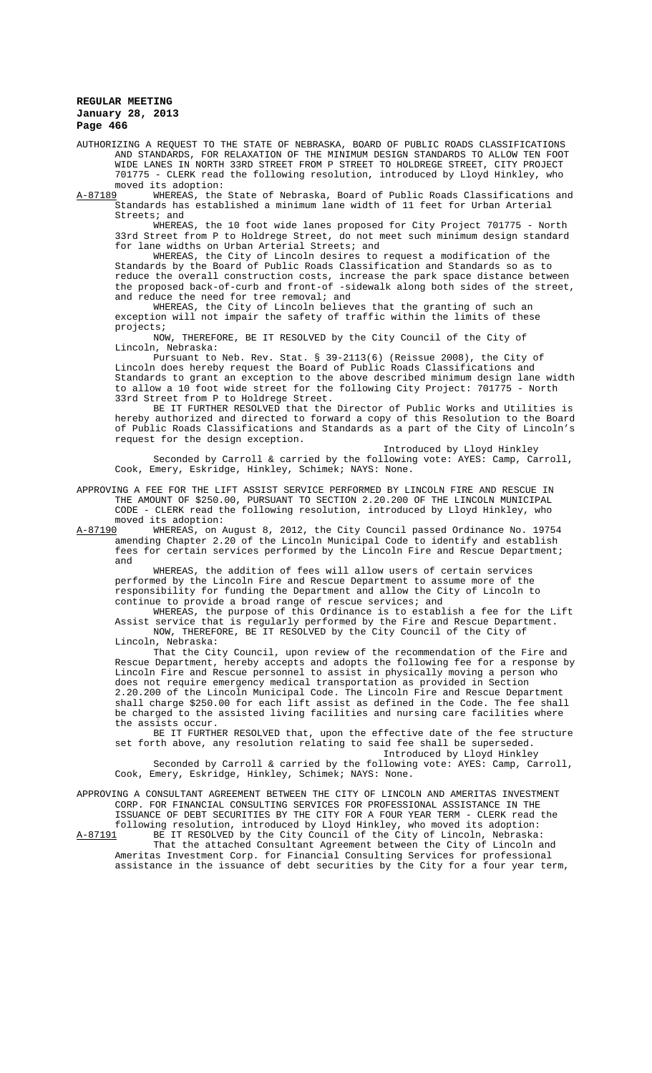AUTHORIZING A REQUEST TO THE STATE OF NEBRASKA, BOARD OF PUBLIC ROADS CLASSIFICATIONS AND STANDARDS, FOR RELAXATION OF THE MINIMUM DESIGN STANDARDS TO ALLOW TEN FOOT WIDE LANES IN NORTH 33RD STREET FROM P STREET TO HOLDREGE STREET, CITY PROJECT 701775 - CLERK read the following resolution, introduced by Lloyd Hinkley, who

moved its adoption:<br>A-87189 WHEREAS, the WHEREAS, the State of Nebraska, Board of Public Roads Classifications and Standards has established a minimum lane width of 11 feet for Urban Arterial Streets; and

WHEREAS, the 10 foot wide lanes proposed for City Project 701775 - North 33rd Street from P to Holdrege Street, do not meet such minimum design standard for lane widths on Urban Arterial Streets; and

WHEREAS, the City of Lincoln desires to request a modification of the Standards by the Board of Public Roads Classification and Standards so as to reduce the overall construction costs, increase the park space distance between the proposed back-of-curb and front-of -sidewalk along both sides of the street, and reduce the need for tree removal; and

WHEREAS, the City of Lincoln believes that the granting of such an exception will not impair the safety of traffic within the limits of these projects;

NOW, THEREFORE, BE IT RESOLVED by the City Council of the City of Lincoln, Nebraska:

Pursuant to Neb. Rev. Stat. § 39-2113(6) (Reissue 2008), the City of Lincoln does hereby request the Board of Public Roads Classifications and Standards to grant an exception to the above described minimum design lane width to allow a 10 foot wide street for the following City Project: 701775 - North 33rd Street from P to Holdrege Street.

BE IT FURTHER RESOLVED that the Director of Public Works and Utilities is hereby authorized and directed to forward a copy of this Resolution to the Board of Public Roads Classifications and Standards as a part of the City of Lincoln's request for the design exception.

Introduced by Lloyd Hinkley Seconded by Carroll & carried by the following vote: AYES: Camp, Carroll, Cook, Emery, Eskridge, Hinkley, Schimek; NAYS: None.

APPROVING A FEE FOR THE LIFT ASSIST SERVICE PERFORMED BY LINCOLN FIRE AND RESCUE IN THE AMOUNT OF \$250.00, PURSUANT TO SECTION 2.20.200 OF THE LINCOLN MUNICIPAL CODE - CLERK read the following resolution, introduced by Lloyd Hinkley, who

moved its adoption:<br>A-87190 WHEREAS, on *1* WHEREAS, on August 8, 2012, the City Council passed Ordinance No. 19754 amending Chapter 2.20 of the Lincoln Municipal Code to identify and establish fees for certain services performed by the Lincoln Fire and Rescue Department; and

WHEREAS, the addition of fees will allow users of certain services performed by the Lincoln Fire and Rescue Department to assume more of the responsibility for funding the Department and allow the City of Lincoln to continue to provide a broad range of rescue services; and

WHEREAS, the purpose of this Ordinance is to establish a fee for the Lift<br>Assist service that is regularly performed by the Fire and Rescue Department. Assist service that is regularly performed by the Fire and Rescue Department. NOW, THEREFORE, BE IT RESOLVED by the City Council of the City of Lincoln, Nebraska:

That the City Council, upon review of the recommendation of the Fire and Rescue Department, hereby accepts and adopts the following fee for a response by Lincoln Fire and Rescue personnel to assist in physically moving a person who does not require emergency medical transportation as provided in Section 2.20.200 of the Lincoln Municipal Code. The Lincoln Fire and Rescue Department shall charge \$250.00 for each lift assist as defined in the Code. The fee shall be charged to the assisted living facilities and nursing care facilities where the assists occur.

BE IT FURTHER RESOLVED that, upon the effective date of the fee structure set forth above, any resolution relating to said fee shall be superseded. Introduced by Lloyd Hinkley

Seconded by Carroll & carried by the following vote: AYES: Camp, Carroll, Cook, Emery, Eskridge, Hinkley, Schimek; NAYS: None.

APPROVING A CONSULTANT AGREEMENT BETWEEN THE CITY OF LINCOLN AND AMERITAS INVESTMENT CORP. FOR FINANCIAL CONSULTING SERVICES FOR PROFESSIONAL ASSISTANCE IN THE ISSUANCE OF DEBT SECURITIES BY THE CITY FOR A FOUR YEAR TERM - CLERK read the following resolution, introduced by Lloyd Hinkley, who moved its adoption:

A-87191 BE IT RESOLVED by the City Council of the City of Lincoln, Nebraska: That the attached Consultant Agreement between the City of Lincoln and Ameritas Investment Corp. for Financial Consulting Services for professional assistance in the issuance of debt securities by the City for a four year term,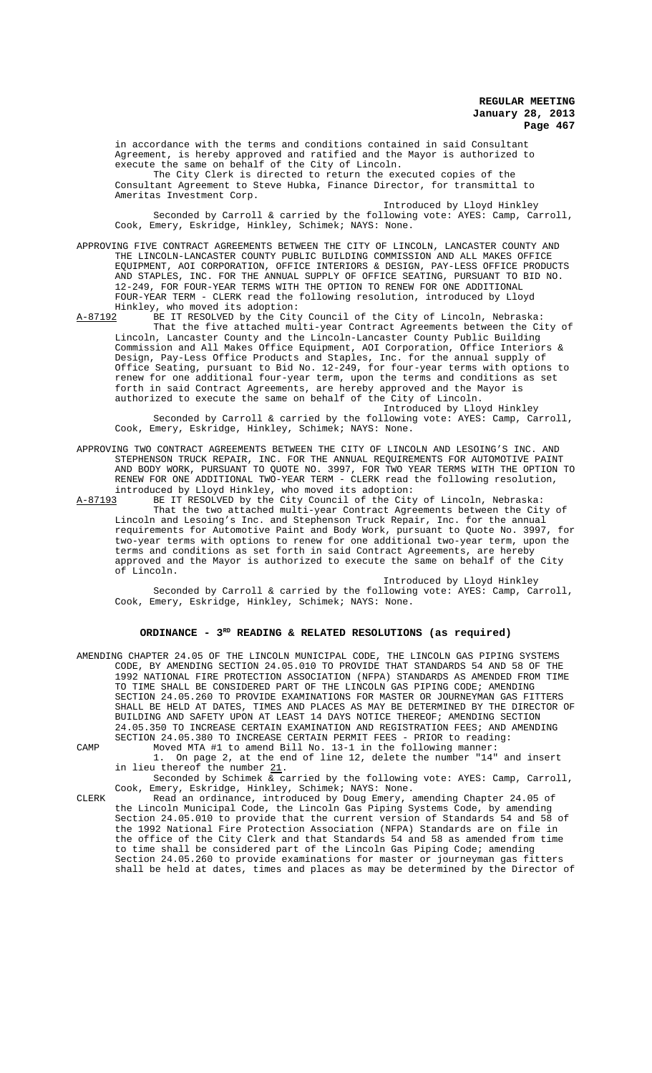in accordance with the terms and conditions contained in said Consultant Agreement, is hereby approved and ratified and the Mayor is authorized to execute the same on behalf of the City of Lincoln.

The City Clerk is directed to return the executed copies of the Consultant Agreement to Steve Hubka, Finance Director, for transmittal to Ameritas Investment Corp.

Introduced by Lloyd Hinkley Seconded by Carroll & carried by the following vote: AYES: Camp, Carroll, Cook, Emery, Eskridge, Hinkley, Schimek; NAYS: None.

APPROVING FIVE CONTRACT AGREEMENTS BETWEEN THE CITY OF LINCOLN, LANCASTER COUNTY AND THE LINCOLN-LANCASTER COUNTY PUBLIC BUILDING COMMISSION AND ALL MAKES OFFICE EQUIPMENT, AOI CORPORATION, OFFICE INTERIORS & DESIGN, PAY-LESS OFFICE PRODUCTS AND STAPLES, INC. FOR THE ANNUAL SUPPLY OF OFFICE SEATING, PURSUANT TO BID NO. 12-249, FOR FOUR-YEAR TERMS WITH THE OPTION TO RENEW FOR ONE ADDITIONAL FOUR-YEAR TERM - CLERK read the following resolution, introduced by Lloyd Hinkley, who moved its adoption:<br>A-87192 BE IT RESOLVED by the City

BE IT RESOLVED by the City Council of the City of Lincoln, Nebraska: That the five attached multi-year Contract Agreements between the City of Lincoln, Lancaster County and the Lincoln-Lancaster County Public Building Commission and All Makes Office Equipment, AOI Corporation, Office Interiors & Design, Pay-Less Office Products and Staples, Inc. for the annual supply of Office Seating, pursuant to Bid No. 12-249, for four-year terms with options to renew for one additional four-year term, upon the terms and conditions as set forth in said Contract Agreements, are hereby approved and the Mayor is authorized to execute the same on behalf of the City of Lincoln.

Introduced by Lloyd Hinkley Seconded by Carroll & carried by the following vote: AYES: Camp, Carroll, Cook, Emery, Eskridge, Hinkley, Schimek; NAYS: None.

APPROVING TWO CONTRACT AGREEMENTS BETWEEN THE CITY OF LINCOLN AND LESOING'S INC. AND STEPHENSON TRUCK REPAIR, INC. FOR THE ANNUAL REQUIREMENTS FOR AUTOMOTIVE PAINT AND BODY WORK, PURSUANT TO QUOTE NO. 3997, FOR TWO YEAR TERMS WITH THE OPTION TO RENEW FOR ONE ADDITIONAL TWO-YEAR TERM - CLERK read the following resolution, introduced by Lloyd Hinkley, who moved its adoption:<br>A-87193 BE IT RESOLVED by the City Council of the City

BE IT RESOLVED by the City Council of the City of Lincoln, Nebraska: That the two attached multi-year Contract Agreements between the City of Lincoln and Lesoing's Inc. and Stephenson Truck Repair, Inc. for the annual requirements for Automotive Paint and Body Work, pursuant to Quote No. 3997, for two-year terms with options to renew for one additional two-year term, upon the terms and conditions as set forth in said Contract Agreements, are hereby approved and the Mayor is authorized to execute the same on behalf of the City of Lincoln.

Introduced by Lloyd Hinkley Seconded by Carroll & carried by the following vote: AYES: Camp, Carroll, Cook, Emery, Eskridge, Hinkley, Schimek; NAYS: None.

# ORDINANCE -  $3^{RD}$  READING & RELATED RESOLUTIONS (as required)

|      | AMENDING CHAPTER 24.05 OF THE LINCOLN MUNICIPAL CODE, THE LINCOLN GAS PIPING SYSTEMS |
|------|--------------------------------------------------------------------------------------|
|      | CODE, BY AMENDING SECTION 24.05.010 TO PROVIDE THAT STANDARDS 54 AND 58 OF THE       |
|      | 1992 NATIONAL FIRE PROTECTION ASSOCIATION (NFPA) STANDARDS AS AMENDED FROM TIME      |
|      | TO TIME SHALL BE CONSIDERED PART OF THE LINCOLN GAS PIPING CODE; AMENDING            |
|      | SECTION 24.05.260 TO PROVIDE EXAMINATIONS FOR MASTER OR JOURNEYMAN GAS FITTERS       |
|      | SHALL BE HELD AT DATES, TIMES AND PLACES AS MAY BE DETERMINED BY THE DIRECTOR OF     |
|      | BUILDING AND SAFETY UPON AT LEAST 14 DAYS NOTICE THEREOF; AMENDING SECTION           |
|      | 24.05.350 TO INCREASE CERTAIN EXAMINATION AND REGISTRATION FEES; AND AMENDING        |
|      | SECTION 24.05.380 TO INCREASE CERTAIN PERMIT FEES - PRIOR to reading:                |
| CAMP | Moved MTA #1 to amend Bill No. 13-1 in the following manner:                         |
|      | 1. On page 2, at the end of line 12, delete the number "14" and insert               |
|      | in lieu thereof the number 21.                                                       |

Seconded by Schimek & carried by the following vote: AYES: Camp, Carroll, Cook, Emery, Eskridge, Hinkley, Schimek; NAYS: None.

CLERK Read an ordinance, introduced by Doug Emery, amending Chapter 24.05 of the Lincoln Municipal Code, the Lincoln Gas Piping Systems Code, by amending Section 24.05.010 to provide that the current version of Standards 54 and 58 of the 1992 National Fire Protection Association (NFPA) Standards are on file in the office of the City Clerk and that Standards 54 and 58 as amended from time to time shall be considered part of the Lincoln Gas Piping Code; amending Section 24.05.260 to provide examinations for master or journeyman gas fitters shall be held at dates, times and places as may be determined by the Director of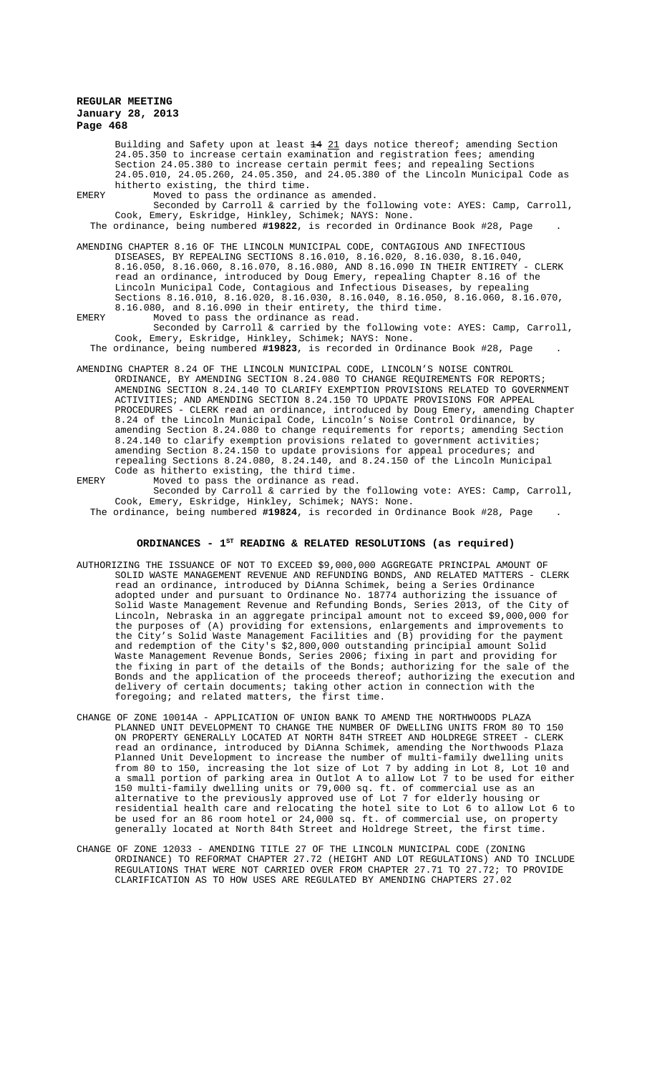Building and Safety upon at least  $\frac{14}{21}$  days notice thereof; amending Section 24.05.350 to increase certain examination and registration fees; amending Section 24.05.380 to increase certain permit fees; and repealing Sections 24.05.010, 24.05.260, 24.05.350, and 24.05.380 of the Lincoln Municipal Code as hitherto existing, the third time.

EMERY Moved to pass the ordinance as amended. Seconded by Carroll & carried by the following vote: AYES: Camp, Carroll, Cook, Emery, Eskridge, Hinkley, Schimek; NAYS: None.

The ordinance, being numbered **#19822**, is recorded in Ordinance Book #28, Page .

AMENDING CHAPTER 8.16 OF THE LINCOLN MUNICIPAL CODE, CONTAGIOUS AND INFECTIOUS DISEASES, BY REPEALING SECTIONS 8.16.010, 8.16.020, 8.16.030, 8.16.040, 8.16.050, 8.16.060, 8.16.070, 8.16.080, AND 8.16.090 IN THEIR ENTIRETY - CLERK read an ordinance, introduced by Doug Emery, repealing Chapter 8.16 of the Lincoln Municipal Code, Contagious and Infectious Diseases, by repealing Sections 8.16.010, 8.16.020, 8.16.030, 8.16.040, 8.16.050, 8.16.060, 8.16.070, 8.16.080, and 8.16.090 in their entirety, the third time.

EMERY Moved to pass the ordinance as read. Seconded by Carroll & carried by the following vote: AYES: Camp, Carroll, Cook, Emery, Eskridge, Hinkley, Schimek; NAYS: None.

The ordinance, being numbered **#19823**, is recorded in Ordinance Book #28, Page .

AMENDING CHAPTER 8.24 OF THE LINCOLN MUNICIPAL CODE, LINCOLN'S NOISE CONTROL ORDINANCE, BY AMENDING SECTION 8.24.080 TO CHANGE REQUIREMENTS FOR REPORTS; AMENDING SECTION 8.24.140 TO CLARIFY EXEMPTION PROVISIONS RELATED TO GOVERNMENT ACTIVITIES; AND AMENDING SECTION 8.24.150 TO UPDATE PROVISIONS FOR APPEAL PROCEDURES - CLERK read an ordinance, introduced by Doug Emery, amending Chapter 8.24 of the Lincoln Municipal Code, Lincoln's Noise Control Ordinance, by amending Section 8.24.080 to change requirements for reports; amending Section 8.24.140 to clarify exemption provisions related to government activities; amending Section 8.24.150 to update provisions for appeal procedures; and repealing Sections 8.24.080, 8.24.140, and 8.24.150 of the Lincoln Municipal Code as hitherto existing, the third time.

EMERY Moved to pass the ordinance as read. Seconded by Carroll & carried by the following vote: AYES: Camp, Carroll, Cook, Emery, Eskridge, Hinkley, Schimek; NAYS: None. The ordinance, being numbered **#19824**, is recorded in Ordinance Book #28, Page .

### ORDINANCES - 1<sup>st</sup> READING & RELATED RESOLUTIONS (as required)

- AUTHORIZING THE ISSUANCE OF NOT TO EXCEED \$9,000,000 AGGREGATE PRINCIPAL AMOUNT OF SOLID WASTE MANAGEMENT REVENUE AND REFUNDING BONDS, AND RELATED MATTERS - CLERK read an ordinance, introduced by DiAnna Schimek, being a Series Ordinance adopted under and pursuant to Ordinance No. 18774 authorizing the issuance of Solid Waste Management Revenue and Refunding Bonds, Series 2013, of the City of Lincoln, Nebraska in an aggregate principal amount not to exceed \$9,000,000 for the purposes of (A) providing for extensions, enlargements and improvements to the City's Solid Waste Management Facilities and (B) providing for the payment and redemption of the City's \$2,800,000 outstanding principial amount Solid Waste Management Revenue Bonds, Series 2006; fixing in part and providing for the fixing in part of the details of the Bonds; authorizing for the sale of the Bonds and the application of the proceeds thereof; authorizing the execution and delivery of certain documents; taking other action in connection with the foregoing; and related matters, the first time.
- CHANGE OF ZONE 10014A APPLICATION OF UNION BANK TO AMEND THE NORTHWOODS PLAZA PLANNED UNIT DEVELOPMENT TO CHANGE THE NUMBER OF DWELLING UNITS FROM 80 TO 150 ON PROPERTY GENERALLY LOCATED AT NORTH 84TH STREET AND HOLDREGE STREET - CLERK read an ordinance, introduced by DiAnna Schimek, amending the Northwoods Plaza Planned Unit Development to increase the number of multi-family dwelling units from 80 to 150, increasing the lot size of Lot 7 by adding in Lot 8, Lot 10 and a small portion of parking area in Outlot A to allow Lot 7 to be used for either 150 multi-family dwelling units or 79,000 sq. ft. of commercial use as an alternative to the previously approved use of Lot 7 for elderly housing or residential health care and relocating the hotel site to Lot 6 to allow Lot 6 to be used for an 86 room hotel or 24,000 sq. ft. of commercial use, on property generally located at North 84th Street and Holdrege Street, the first time.
- CHANGE OF ZONE 12033 AMENDING TITLE 27 OF THE LINCOLN MUNICIPAL CODE (ZONING ORDINANCE) TO REFORMAT CHAPTER 27.72 (HEIGHT AND LOT REGULATIONS) AND TO INCLUDE REGULATIONS THAT WERE NOT CARRIED OVER FROM CHAPTER 27.71 TO 27.72; TO PROVIDE CLARIFICATION AS TO HOW USES ARE REGULATED BY AMENDING CHAPTERS 27.02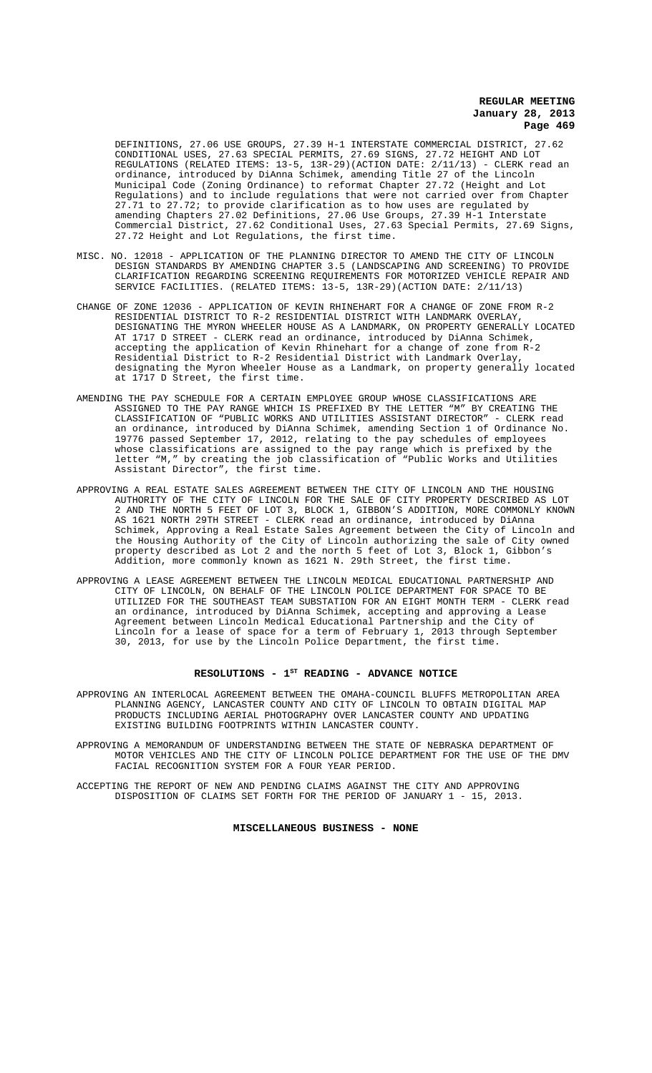DEFINITIONS, 27.06 USE GROUPS, 27.39 H-1 INTERSTATE COMMERCIAL DISTRICT, 27.62 CONDITIONAL USES, 27.63 SPECIAL PERMITS, 27.69 SIGNS, 27.72 HEIGHT AND LOT REGULATIONS (RELATED ITEMS: 13-5, 13R-29)(ACTION DATE: 2/11/13) - CLERK read an ordinance, introduced by DiAnna Schimek, amending Title 27 of the Lincoln Municipal Code (Zoning Ordinance) to reformat Chapter 27.72 (Height and Lot Regulations) and to include regulations that were not carried over from Chapter 27.71 to 27.72; to provide clarification as to how uses are regulated by amending Chapters 27.02 Definitions, 27.06 Use Groups, 27.39 H-1 Interstate Commercial District, 27.62 Conditional Uses, 27.63 Special Permits, 27.69 Signs, 27.72 Height and Lot Regulations, the first time.

- MISC. NO. 12018 APPLICATION OF THE PLANNING DIRECTOR TO AMEND THE CITY OF LINCOLN DESIGN STANDARDS BY AMENDING CHAPTER 3.5 (LANDSCAPING AND SCREENING) TO PROVIDE CLARIFICATION REGARDING SCREENING REQUIREMENTS FOR MOTORIZED VEHICLE REPAIR AND SERVICE FACILITIES. (RELATED ITEMS: 13-5, 13R-29)(ACTION DATE: 2/11/13)
- CHANGE OF ZONE 12036 APPLICATION OF KEVIN RHINEHART FOR A CHANGE OF ZONE FROM R-2 RESIDENTIAL DISTRICT TO R-2 RESIDENTIAL DISTRICT WITH LANDMARK OVERLAY, DESIGNATING THE MYRON WHEELER HOUSE AS A LANDMARK, ON PROPERTY GENERALLY LOCATED AT 1717 D STREET - CLERK read an ordinance, introduced by DiAnna Schimek, accepting the application of Kevin Rhinehart for a change of zone from R-2 Residential District to R-2 Residential District with Landmark Overlay, designating the Myron Wheeler House as a Landmark, on property generally located at 1717 D Street, the first time.
- AMENDING THE PAY SCHEDULE FOR A CERTAIN EMPLOYEE GROUP WHOSE CLASSIFICATIONS ARE ASSIGNED TO THE PAY RANGE WHICH IS PREFIXED BY THE LETTER "M" BY CREATING THE CLASSIFICATION OF "PUBLIC WORKS AND UTILITIES ASSISTANT DIRECTOR" - CLERK read an ordinance, introduced by DiAnna Schimek, amending Section 1 of Ordinance No. 19776 passed September 17, 2012, relating to the pay schedules of employees whose classifications are assigned to the pay range which is prefixed by the letter "M," by creating the job classification of "Public Works and Utilities Assistant Director", the first time.
- APPROVING A REAL ESTATE SALES AGREEMENT BETWEEN THE CITY OF LINCOLN AND THE HOUSING AUTHORITY OF THE CITY OF LINCOLN FOR THE SALE OF CITY PROPERTY DESCRIBED AS LOT 2 AND THE NORTH 5 FEET OF LOT 3, BLOCK 1, GIBBON'S ADDITION, MORE COMMONLY KNOWN AS 1621 NORTH 29TH STREET - CLERK read an ordinance, introduced by DiAnna Schimek, Approving a Real Estate Sales Agreement between the City of Lincoln and the Housing Authority of the City of Lincoln authorizing the sale of City owned property described as Lot 2 and the north 5 feet of Lot 3, Block 1, Gibbon's Addition, more commonly known as 1621 N. 29th Street, the first time.
- APPROVING A LEASE AGREEMENT BETWEEN THE LINCOLN MEDICAL EDUCATIONAL PARTNERSHIP AND CITY OF LINCOLN, ON BEHALF OF THE LINCOLN POLICE DEPARTMENT FOR SPACE TO BE UTILIZED FOR THE SOUTHEAST TEAM SUBSTATION FOR AN EIGHT MONTH TERM - CLERK read an ordinance, introduced by DiAnna Schimek, accepting and approving a Lease Agreement between Lincoln Medical Educational Partnership and the City of Lincoln for a lease of space for a term of February 1, 2013 through September 30, 2013, for use by the Lincoln Police Department, the first time.

# RESOLUTIONS - 1<sup>st</sup> READING - ADVANCE NOTICE

APPROVING AN INTERLOCAL AGREEMENT BETWEEN THE OMAHA-COUNCIL BLUFFS METROPOLITAN AREA PLANNING AGENCY, LANCASTER COUNTY AND CITY OF LINCOLN TO OBTAIN DIGITAL MAP PRODUCTS INCLUDING AERIAL PHOTOGRAPHY OVER LANCASTER COUNTY AND UPDATING EXISTING BUILDING FOOTPRINTS WITHIN LANCASTER COUNTY.

APPROVING A MEMORANDUM OF UNDERSTANDING BETWEEN THE STATE OF NEBRASKA DEPARTMENT OF MOTOR VEHICLES AND THE CITY OF LINCOLN POLICE DEPARTMENT FOR THE USE OF THE DMV FACIAL RECOGNITION SYSTEM FOR A FOUR YEAR PERIOD.

ACCEPTING THE REPORT OF NEW AND PENDING CLAIMS AGAINST THE CITY AND APPROVING DISPOSITION OF CLAIMS SET FORTH FOR THE PERIOD OF JANUARY 1 - 15, 2013.

**MISCELLANEOUS BUSINESS - NONE**